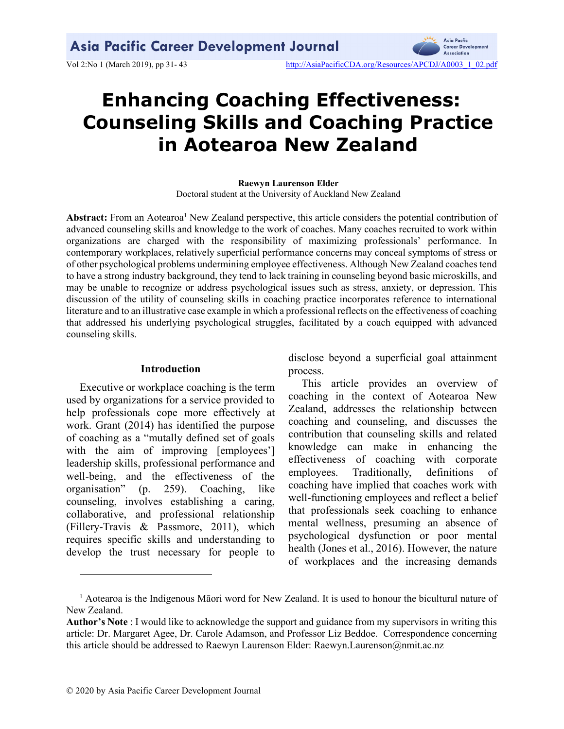

Vol 2:No 1 (March 2019), pp 31- 43 http://AsiaPacificCDA.org/Resources/APCDJ/A0003\_1\_02.pdf

# Enhancing Coaching Effectiveness: Counseling Skills and Coaching Practice in Aotearoa New Zealand

Raewyn Laurenson Elder Doctoral student at the University of Auckland New Zealand

Abstract: From an Aotearoa<sup>1</sup> New Zealand perspective, this article considers the potential contribution of advanced counseling skills and knowledge to the work of coaches. Many coaches recruited to work within organizations are charged with the responsibility of maximizing professionals' performance. In contemporary workplaces, relatively superficial performance concerns may conceal symptoms of stress or of other psychological problems undermining employee effectiveness. Although New Zealand coaches tend to have a strong industry background, they tend to lack training in counseling beyond basic microskills, and may be unable to recognize or address psychological issues such as stress, anxiety, or depression. This discussion of the utility of counseling skills in coaching practice incorporates reference to international literature and to an illustrative case example in which a professional reflects on the effectiveness of coaching that addressed his underlying psychological struggles, facilitated by a coach equipped with advanced counseling skills.

#### Introduction

Executive or workplace coaching is the term used by organizations for a service provided to help professionals cope more effectively at work. Grant (2014) has identified the purpose of coaching as a "mutally defined set of goals with the aim of improving [employees'] leadership skills, professional performance and well-being, and the effectiveness of the organisation" (p. 259). Coaching, like counseling, involves establishing a caring, collaborative, and professional relationship (Fillery-Travis & Passmore, 2011), which requires specific skills and understanding to develop the trust necessary for people to disclose beyond a superficial goal attainment process.

This article provides an overview of coaching in the context of Aotearoa New Zealand, addresses the relationship between coaching and counseling, and discusses the contribution that counseling skills and related knowledge can make in enhancing the effectiveness of coaching with corporate employees. Traditionally, definitions of coaching have implied that coaches work with well-functioning employees and reflect a belief that professionals seek coaching to enhance mental wellness, presuming an absence of psychological dysfunction or poor mental health (Jones et al., 2016). However, the nature of workplaces and the increasing demands

<sup>&</sup>lt;sup>1</sup> Aotearoa is the Indigenous Māori word for New Zealand. It is used to honour the bicultural nature of New Zealand.

Author's Note : I would like to acknowledge the support and guidance from my supervisors in writing this article: Dr. Margaret Agee, Dr. Carole Adamson, and Professor Liz Beddoe. Correspondence concerning this article should be addressed to Raewyn Laurenson Elder: Raewyn.Laurenson@nmit.ac.nz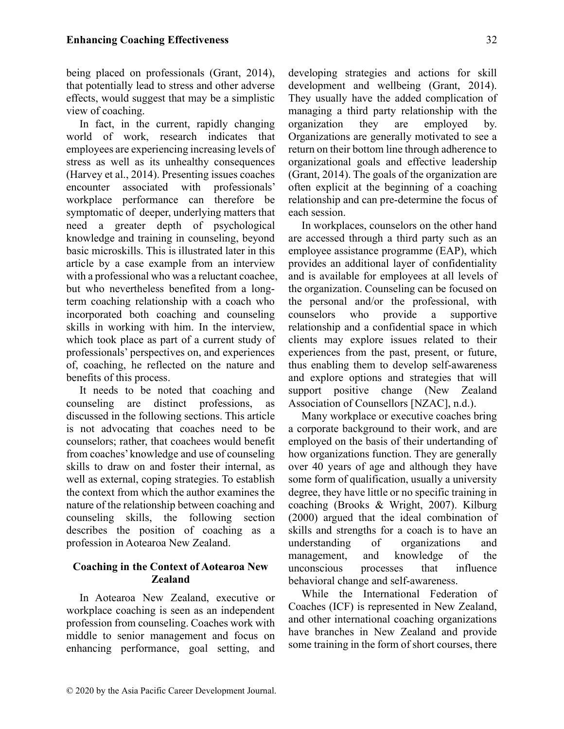being placed on professionals (Grant, 2014), that potentially lead to stress and other adverse effects, would suggest that may be a simplistic view of coaching.

In fact, in the current, rapidly changing world of work, research indicates that employees are experiencing increasing levels of stress as well as its unhealthy consequences (Harvey et al., 2014). Presenting issues coaches encounter associated with professionals' workplace performance can therefore be symptomatic of deeper, underlying matters that need a greater depth of psychological knowledge and training in counseling, beyond basic microskills. This is illustrated later in this article by a case example from an interview with a professional who was a reluctant coachee, but who nevertheless benefited from a longterm coaching relationship with a coach who incorporated both coaching and counseling skills in working with him. In the interview, which took place as part of a current study of professionals' perspectives on, and experiences of, coaching, he reflected on the nature and benefits of this process.

It needs to be noted that coaching and counseling are distinct professions, as discussed in the following sections. This article is not advocating that coaches need to be counselors; rather, that coachees would benefit from coaches' knowledge and use of counseling skills to draw on and foster their internal, as well as external, coping strategies. To establish the context from which the author examines the nature of the relationship between coaching and counseling skills, the following section describes the position of coaching as a profession in Aotearoa New Zealand.

## Coaching in the Context of Aotearoa New Zealand

In Aotearoa New Zealand, executive or workplace coaching is seen as an independent profession from counseling. Coaches work with middle to senior management and focus on enhancing performance, goal setting, and developing strategies and actions for skill development and wellbeing (Grant, 2014). They usually have the added complication of managing a third party relationship with the organization they are employed by. Organizations are generally motivated to see a return on their bottom line through adherence to organizational goals and effective leadership (Grant, 2014). The goals of the organization are often explicit at the beginning of a coaching relationship and can pre-determine the focus of each session.

In workplaces, counselors on the other hand are accessed through a third party such as an employee assistance programme (EAP), which provides an additional layer of confidentiality and is available for employees at all levels of the organization. Counseling can be focused on the personal and/or the professional, with counselors who provide a supportive relationship and a confidential space in which clients may explore issues related to their experiences from the past, present, or future, thus enabling them to develop self-awareness and explore options and strategies that will support positive change (New Zealand Association of Counsellors [NZAC], n.d.).

Many workplace or executive coaches bring a corporate background to their work, and are employed on the basis of their undertanding of how organizations function. They are generally over 40 years of age and although they have some form of qualification, usually a university degree, they have little or no specific training in coaching (Brooks & Wright, 2007). Kilburg (2000) argued that the ideal combination of skills and strengths for a coach is to have an understanding of organizations and management, and knowledge of the unconscious processes that influence behavioral change and self-awareness.

While the International Federation of Coaches (ICF) is represented in New Zealand, and other international coaching organizations have branches in New Zealand and provide some training in the form of short courses, there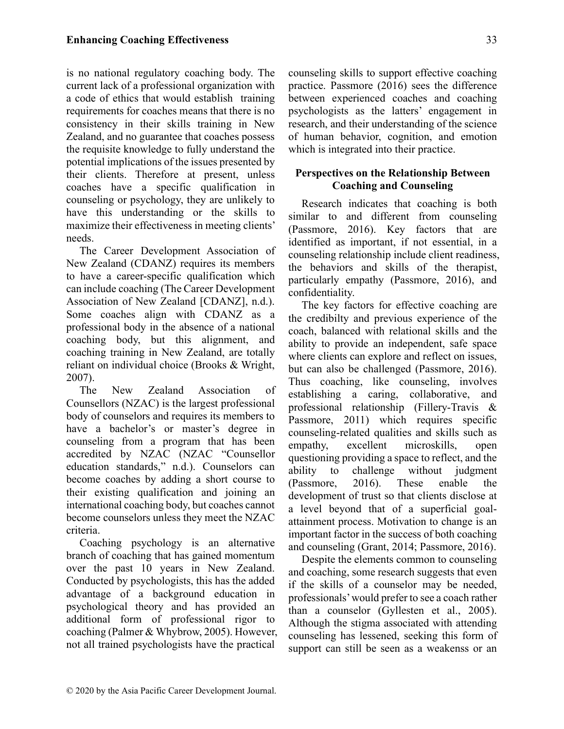is no national regulatory coaching body. The current lack of a professional organization with a code of ethics that would establish training requirements for coaches means that there is no consistency in their skills training in New Zealand, and no guarantee that coaches possess the requisite knowledge to fully understand the potential implications of the issues presented by their clients. Therefore at present, unless coaches have a specific qualification in counseling or psychology, they are unlikely to have this understanding or the skills to maximize their effectiveness in meeting clients' needs.

The Career Development Association of New Zealand (CDANZ) requires its members to have a career-specific qualification which can include coaching (The Career Development Association of New Zealand [CDANZ], n.d.). Some coaches align with CDANZ as a professional body in the absence of a national coaching body, but this alignment, and coaching training in New Zealand, are totally reliant on individual choice (Brooks & Wright, 2007).

The New Zealand Association of Counsellors (NZAC) is the largest professional body of counselors and requires its members to have a bachelor's or master's degree in counseling from a program that has been accredited by NZAC (NZAC "Counsellor education standards," n.d.). Counselors can become coaches by adding a short course to their existing qualification and joining an international coaching body, but coaches cannot become counselors unless they meet the NZAC criteria.

Coaching psychology is an alternative branch of coaching that has gained momentum over the past 10 years in New Zealand. Conducted by psychologists, this has the added advantage of a background education in psychological theory and has provided an additional form of professional rigor to coaching (Palmer & Whybrow, 2005). However, not all trained psychologists have the practical

counseling skills to support effective coaching practice. Passmore (2016) sees the difference between experienced coaches and coaching psychologists as the latters' engagement in research, and their understanding of the science of human behavior, cognition, and emotion which is integrated into their practice.

## Perspectives on the Relationship Between Coaching and Counseling

Research indicates that coaching is both similar to and different from counseling (Passmore, 2016). Key factors that are identified as important, if not essential, in a counseling relationship include client readiness, the behaviors and skills of the therapist, particularly empathy (Passmore, 2016), and confidentiality.

The key factors for effective coaching are the credibilty and previous experience of the coach, balanced with relational skills and the ability to provide an independent, safe space where clients can explore and reflect on issues, but can also be challenged (Passmore, 2016). Thus coaching, like counseling, involves establishing a caring, collaborative, and professional relationship (Fillery-Travis & Passmore, 2011) which requires specific counseling-related qualities and skills such as empathy, excellent microskills, open questioning providing a space to reflect, and the ability to challenge without judgment (Passmore, 2016). These enable the development of trust so that clients disclose at a level beyond that of a superficial goalattainment process. Motivation to change is an important factor in the success of both coaching and counseling (Grant, 2014; Passmore, 2016).

Despite the elements common to counseling and coaching, some research suggests that even if the skills of a counselor may be needed, professionals' would prefer to see a coach rather than a counselor (Gyllesten et al., 2005). Although the stigma associated with attending counseling has lessened, seeking this form of support can still be seen as a weakenss or an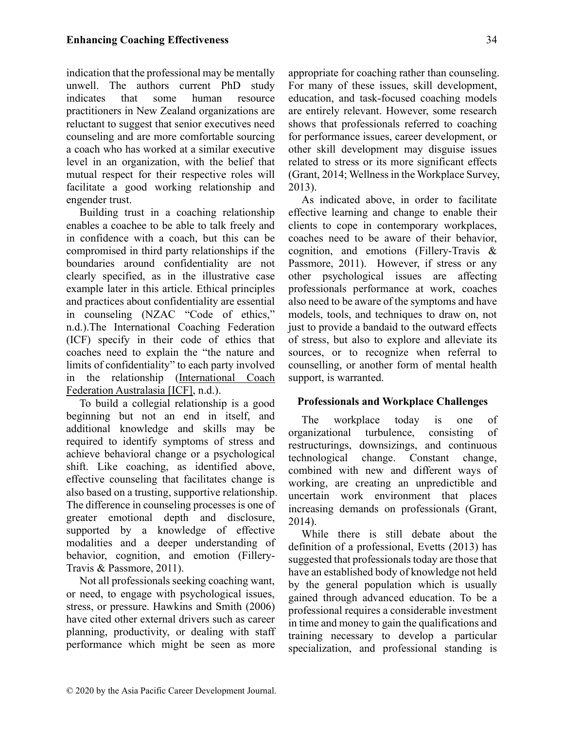indication that the professional may be mentally unwell. The authors current PhD study indicates that some human resource practitioners in New Zealand organizations are reluctant to suggest that senior executives need counseling and are more comfortable sourcing a coach who has worked at a similar executive level in an organization, with the belief that mutual respect for their respective roles will facilitate a good working relationship and engender trust.

Building trust in a coaching relationship enables a coachee to be able to talk freely and in confidence with a coach, but this can be compromised in third party relationships if the boundaries around confidentiality are not clearly specified, as in the illustrative case example later in this article. Ethical principles and practices about confidentiality are essential in counseling (NZAC "Code of ethics," n.d.).The International Coaching Federation (ICF) specify in their code of ethics that coaches need to explain the "the nature and limits of confidentiality" to each party involved in the relationship (International Coach Federation Australasia [ICF], n.d.).

To build a collegial relationship is a good beginning but not an end in itself, and additional knowledge and skills may be required to identify symptoms of stress and achieve behavioral change or a psychological shift. Like coaching, as identified above, effective counseling that facilitates change is also based on a trusting, supportive relationship. The difference in counseling processes is one of greater emotional depth and disclosure, supported by a knowledge of effective modalities and a deeper understanding of behavior, cognition, and emotion (Fillery-Travis & Passmore, 2011).

Not all professionals seeking coaching want, or need, to engage with psychological issues, stress, or pressure. Hawkins and Smith (2006) have cited other external drivers such as career planning, productivity, or dealing with staff performance which might be seen as more appropriate for coaching rather than counseling. For many of these issues, skill development, education, and task-focused coaching models are entirely relevant. However, some research shows that professionals referred to coaching for performance issues, career development, or other skill development may disguise issues related to stress or its more significant effects (Grant, 2014; Wellness in the Workplace Survey, 2013).

As indicated above, in order to facilitate effective learning and change to enable their clients to cope in contemporary workplaces, coaches need to be aware of their behavior, cognition, and emotions (Fillery-Travis & Passmore, 2011). However, if stress or any other psychological issues are affecting professionals performance at work, coaches also need to be aware of the symptoms and have models, tools, and techniques to draw on, not just to provide a bandaid to the outward effects of stress, but also to explore and alleviate its sources, or to recognize when referral to counselling, or another form of mental health support, is warranted.

## Professionals and Workplace Challenges

The workplace today is one of organizational turbulence, consisting of restructurings, downsizings, and continuous technological change. Constant change, combined with new and different ways of working, are creating an unpredictible and uncertain work environment that places increasing demands on professionals (Grant, 2014).

While there is still debate about the definition of a professional, Evetts (2013) has suggested that professionals today are those that have an established body of knowledge not held by the general population which is usually gained through advanced education. To be a professional requires a considerable investment in time and money to gain the qualifications and training necessary to develop a particular specialization, and professional standing is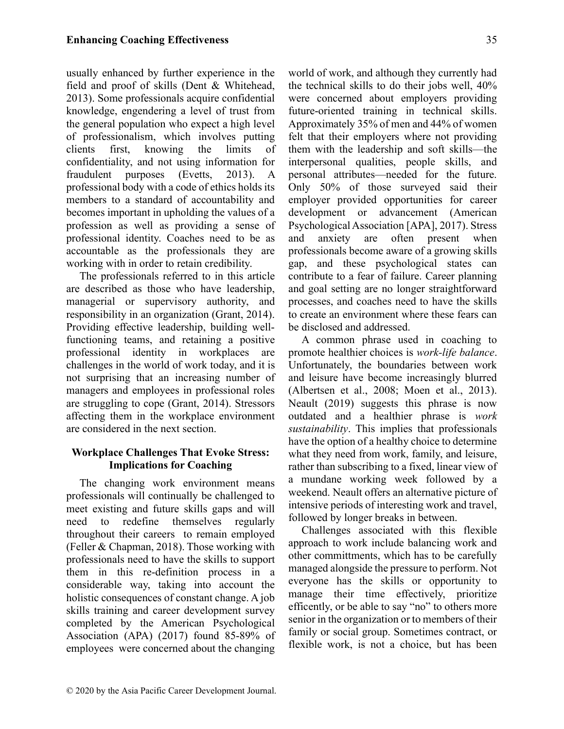usually enhanced by further experience in the field and proof of skills (Dent & Whitehead, 2013). Some professionals acquire confidential knowledge, engendering a level of trust from the general population who expect a high level of professionalism, which involves putting clients first, knowing the limits of confidentiality, and not using information for fraudulent purposes (Evetts, 2013). A professional body with a code of ethics holds its members to a standard of accountability and becomes important in upholding the values of a profession as well as providing a sense of professional identity. Coaches need to be as accountable as the professionals they are working with in order to retain credibility.

The professionals referred to in this article are described as those who have leadership, managerial or supervisory authority, and responsibility in an organization (Grant, 2014). Providing effective leadership, building wellfunctioning teams, and retaining a positive professional identity in workplaces are challenges in the world of work today, and it is not surprising that an increasing number of managers and employees in professional roles are struggling to cope (Grant, 2014). Stressors affecting them in the workplace environment are considered in the next section.

# Workplace Challenges That Evoke Stress: Implications for Coaching

The changing work environment means professionals will continually be challenged to meet existing and future skills gaps and will need to redefine themselves regularly throughout their careers to remain employed (Feller & Chapman, 2018). Those working with professionals need to have the skills to support them in this re-definition process in a considerable way, taking into account the holistic consequences of constant change. A job skills training and career development survey completed by the American Psychological Association (APA) (2017) found 85-89% of employees were concerned about the changing world of work, and although they currently had the technical skills to do their jobs well, 40% were concerned about employers providing future-oriented training in technical skills. Approximately 35% of men and 44% of women felt that their employers where not providing them with the leadership and soft skills—the interpersonal qualities, people skills, and personal attributes—needed for the future. Only 50% of those surveyed said their employer provided opportunities for career development or advancement (American Psychological Association [APA], 2017). Stress and anxiety are often present when professionals become aware of a growing skills gap, and these psychological states can contribute to a fear of failure. Career planning and goal setting are no longer straightforward processes, and coaches need to have the skills to create an environment where these fears can be disclosed and addressed.

A common phrase used in coaching to promote healthier choices is work-life balance. Unfortunately, the boundaries between work and leisure have become increasingly blurred (Albertsen et al., 2008; Moen et al., 2013). Neault (2019) suggests this phrase is now outdated and a healthier phrase is work sustainability. This implies that professionals have the option of a healthy choice to determine what they need from work, family, and leisure, rather than subscribing to a fixed, linear view of a mundane working week followed by a weekend. Neault offers an alternative picture of intensive periods of interesting work and travel, followed by longer breaks in between.

Challenges associated with this flexible approach to work include balancing work and other committments, which has to be carefully managed alongside the pressure to perform. Not everyone has the skills or opportunity to manage their time effectively, prioritize efficently, or be able to say "no" to others more senior in the organization or to members of their family or social group. Sometimes contract, or flexible work, is not a choice, but has been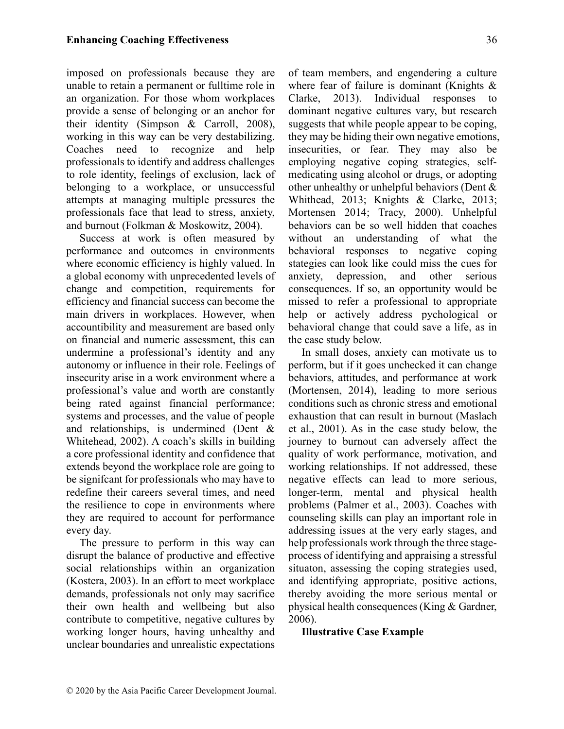imposed on professionals because they are unable to retain a permanent or fulltime role in an organization. For those whom workplaces provide a sense of belonging or an anchor for their identity (Simpson & Carroll, 2008), working in this way can be very destabilizing. Coaches need to recognize and help professionals to identify and address challenges to role identity, feelings of exclusion, lack of belonging to a workplace, or unsuccessful attempts at managing multiple pressures the professionals face that lead to stress, anxiety, and burnout (Folkman & Moskowitz, 2004).

Success at work is often measured by performance and outcomes in environments where economic efficiency is highly valued. In a global economy with unprecedented levels of change and competition, requirements for efficiency and financial success can become the main drivers in workplaces. However, when accountibility and measurement are based only on financial and numeric assessment, this can undermine a professional's identity and any autonomy or influence in their role. Feelings of insecurity arise in a work environment where a professional's value and worth are constantly being rated against financial performance; systems and processes, and the value of people and relationships, is undermined (Dent & Whitehead, 2002). A coach's skills in building a core professional identity and confidence that extends beyond the workplace role are going to be signifcant for professionals who may have to redefine their careers several times, and need the resilience to cope in environments where they are required to account for performance every day.

The pressure to perform in this way can disrupt the balance of productive and effective social relationships within an organization (Kostera, 2003). In an effort to meet workplace demands, professionals not only may sacrifice their own health and wellbeing but also contribute to competitive, negative cultures by working longer hours, having unhealthy and unclear boundaries and unrealistic expectations of team members, and engendering a culture where fear of failure is dominant (Knights & Clarke, 2013). Individual responses to dominant negative cultures vary, but research suggests that while people appear to be coping, they may be hiding their own negative emotions, insecurities, or fear. They may also be employing negative coping strategies, selfmedicating using alcohol or drugs, or adopting other unhealthy or unhelpful behaviors (Dent & Whithead, 2013; Knights & Clarke, 2013; Mortensen 2014; Tracy, 2000). Unhelpful behaviors can be so well hidden that coaches without an understanding of what the behavioral responses to negative coping stategies can look like could miss the cues for anxiety, depression, and other serious consequences. If so, an opportunity would be missed to refer a professional to appropriate help or actively address pychological or behavioral change that could save a life, as in the case study below.

In small doses, anxiety can motivate us to perform, but if it goes unchecked it can change behaviors, attitudes, and performance at work (Mortensen, 2014), leading to more serious conditions such as chronic stress and emotional exhaustion that can result in burnout (Maslach et al., 2001). As in the case study below, the journey to burnout can adversely affect the quality of work performance, motivation, and working relationships. If not addressed, these negative effects can lead to more serious, longer-term, mental and physical health problems (Palmer et al., 2003). Coaches with counseling skills can play an important role in addressing issues at the very early stages, and help professionals work through the three stageprocess of identifying and appraising a stressful situaton, assessing the coping strategies used, and identifying appropriate, positive actions, thereby avoiding the more serious mental or physical health consequences (King & Gardner, 2006).

Illustrative Case Example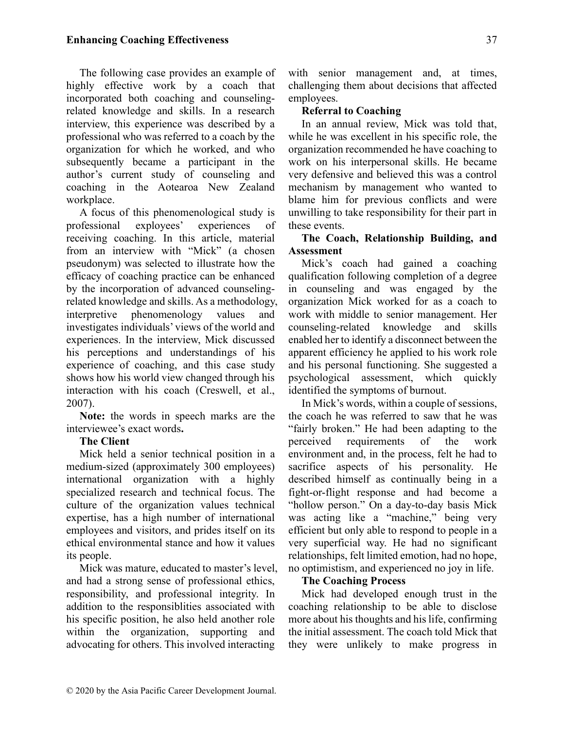The following case provides an example of highly effective work by a coach that incorporated both coaching and counselingrelated knowledge and skills. In a research interview, this experience was described by a professional who was referred to a coach by the organization for which he worked, and who subsequently became a participant in the author's current study of counseling and coaching in the Aotearoa New Zealand workplace.

A focus of this phenomenological study is professional exployees' experiences of receiving coaching. In this article, material from an interview with "Mick" (a chosen pseudonym) was selected to illustrate how the efficacy of coaching practice can be enhanced by the incorporation of advanced counselingrelated knowledge and skills. As a methodology, interpretive phenomenology values and investigates individuals' views of the world and experiences. In the interview, Mick discussed his perceptions and understandings of his experience of coaching, and this case study shows how his world view changed through his interaction with his coach (Creswell, et al., 2007).

Note: the words in speech marks are the interviewee's exact words.

## The Client

Mick held a senior technical position in a medium-sized (approximately 300 employees) international organization with a highly specialized research and technical focus. The culture of the organization values technical expertise, has a high number of international employees and visitors, and prides itself on its ethical environmental stance and how it values its people.

Mick was mature, educated to master's level, and had a strong sense of professional ethics, responsibility, and professional integrity. In addition to the responsiblities associated with his specific position, he also held another role within the organization, supporting and advocating for others. This involved interacting

with senior management and, at times, challenging them about decisions that affected employees.

## Referral to Coaching

In an annual review, Mick was told that, while he was excellent in his specific role, the organization recommended he have coaching to work on his interpersonal skills. He became very defensive and believed this was a control mechanism by management who wanted to blame him for previous conflicts and were unwilling to take responsibility for their part in these events.

## The Coach, Relationship Building, and **Assessment**

Mick's coach had gained a coaching qualification following completion of a degree in counseling and was engaged by the organization Mick worked for as a coach to work with middle to senior management. Her counseling-related knowledge and skills enabled her to identify a disconnect between the apparent efficiency he applied to his work role and his personal functioning. She suggested a psychological assessment, which quickly identified the symptoms of burnout.

In Mick's words, within a couple of sessions, the coach he was referred to saw that he was "fairly broken." He had been adapting to the perceived requirements of the work environment and, in the process, felt he had to sacrifice aspects of his personality. He described himself as continually being in a fight-or-flight response and had become a "hollow person." On a day-to-day basis Mick was acting like a "machine," being very efficient but only able to respond to people in a very superficial way. He had no significant relationships, felt limited emotion, had no hope, no optimistism, and experienced no joy in life.

## The Coaching Process

Mick had developed enough trust in the coaching relationship to be able to disclose more about his thoughts and his life, confirming the initial assessment. The coach told Mick that they were unlikely to make progress in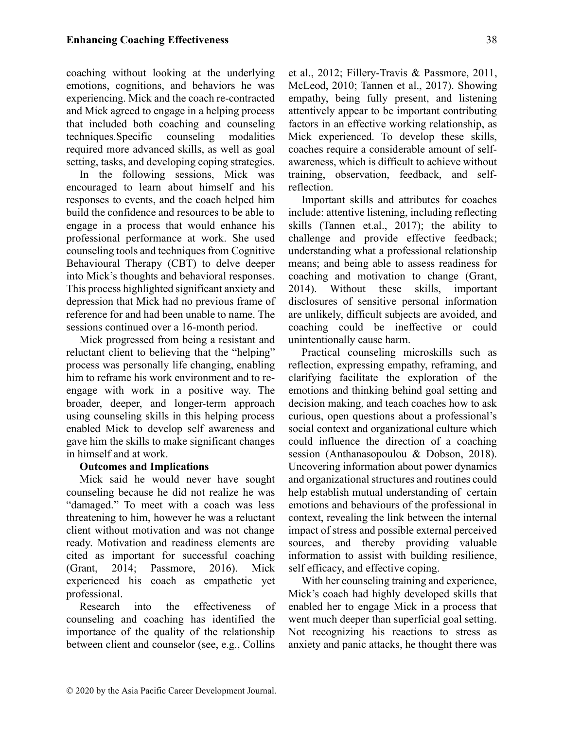coaching without looking at the underlying emotions, cognitions, and behaviors he was experiencing. Mick and the coach re-contracted and Mick agreed to engage in a helping process that included both coaching and counseling techniques.Specific counseling modalities required more advanced skills, as well as goal setting, tasks, and developing coping strategies.

In the following sessions, Mick was encouraged to learn about himself and his responses to events, and the coach helped him build the confidence and resources to be able to engage in a process that would enhance his professional performance at work. She used counseling tools and techniques from Cognitive Behavioural Therapy (CBT) to delve deeper into Mick's thoughts and behavioral responses. This process highlighted significant anxiety and depression that Mick had no previous frame of reference for and had been unable to name. The sessions continued over a 16-month period.

Mick progressed from being a resistant and reluctant client to believing that the "helping" process was personally life changing, enabling him to reframe his work environment and to reengage with work in a positive way. The broader, deeper, and longer-term approach using counseling skills in this helping process enabled Mick to develop self awareness and gave him the skills to make significant changes in himself and at work.

### Outcomes and Implications

Mick said he would never have sought counseling because he did not realize he was "damaged." To meet with a coach was less threatening to him, however he was a reluctant client without motivation and was not change ready. Motivation and readiness elements are cited as important for successful coaching (Grant, 2014; Passmore, 2016). Mick experienced his coach as empathetic yet professional.

Research into the effectiveness of counseling and coaching has identified the importance of the quality of the relationship between client and counselor (see, e.g., Collins et al., 2012; Fillery-Travis & Passmore, 2011, McLeod, 2010; Tannen et al., 2017). Showing empathy, being fully present, and listening attentively appear to be important contributing factors in an effective working relationship, as Mick experienced. To develop these skills, coaches require a considerable amount of selfawareness, which is difficult to achieve without training, observation, feedback, and selfreflection.

Important skills and attributes for coaches include: attentive listening, including reflecting skills (Tannen et.al., 2017); the ability to challenge and provide effective feedback; understanding what a professional relationship means; and being able to assess readiness for coaching and motivation to change (Grant, 2014). Without these skills, important disclosures of sensitive personal information are unlikely, difficult subjects are avoided, and coaching could be ineffective or could unintentionally cause harm.

Practical counseling microskills such as reflection, expressing empathy, reframing, and clarifying facilitate the exploration of the emotions and thinking behind goal setting and decision making, and teach coaches how to ask curious, open questions about a professional's social context and organizational culture which could influence the direction of a coaching session (Anthanasopoulou & Dobson, 2018). Uncovering information about power dynamics and organizational structures and routines could help establish mutual understanding of certain emotions and behaviours of the professional in context, revealing the link between the internal impact of stress and possible external perceived sources, and thereby providing valuable information to assist with building resilience, self efficacy, and effective coping.

With her counseling training and experience, Mick's coach had highly developed skills that enabled her to engage Mick in a process that went much deeper than superficial goal setting. Not recognizing his reactions to stress as anxiety and panic attacks, he thought there was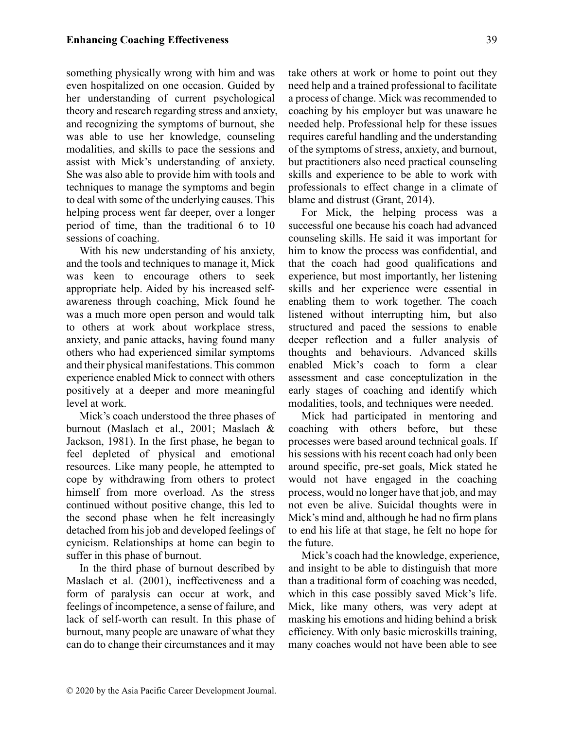something physically wrong with him and was even hospitalized on one occasion. Guided by her understanding of current psychological theory and research regarding stress and anxiety, and recognizing the symptoms of burnout, she was able to use her knowledge, counseling modalities, and skills to pace the sessions and assist with Mick's understanding of anxiety. She was also able to provide him with tools and techniques to manage the symptoms and begin to deal with some of the underlying causes. This helping process went far deeper, over a longer period of time, than the traditional 6 to 10 sessions of coaching.

With his new understanding of his anxiety, and the tools and techniques to manage it, Mick was keen to encourage others to seek appropriate help. Aided by his increased selfawareness through coaching, Mick found he was a much more open person and would talk to others at work about workplace stress, anxiety, and panic attacks, having found many others who had experienced similar symptoms and their physical manifestations. This common experience enabled Mick to connect with others positively at a deeper and more meaningful level at work.

Mick's coach understood the three phases of burnout (Maslach et al., 2001; Maslach & Jackson, 1981). In the first phase, he began to feel depleted of physical and emotional resources. Like many people, he attempted to cope by withdrawing from others to protect himself from more overload. As the stress continued without positive change, this led to the second phase when he felt increasingly detached from his job and developed feelings of cynicism. Relationships at home can begin to suffer in this phase of burnout.

In the third phase of burnout described by Maslach et al. (2001), ineffectiveness and a form of paralysis can occur at work, and feelings of incompetence, a sense of failure, and lack of self-worth can result. In this phase of burnout, many people are unaware of what they can do to change their circumstances and it may take others at work or home to point out they need help and a trained professional to facilitate a process of change. Mick was recommended to coaching by his employer but was unaware he needed help. Professional help for these issues requires careful handling and the understanding of the symptoms of stress, anxiety, and burnout, but practitioners also need practical counseling skills and experience to be able to work with professionals to effect change in a climate of blame and distrust (Grant, 2014).

For Mick, the helping process was a successful one because his coach had advanced counseling skills. He said it was important for him to know the process was confidential, and that the coach had good qualifications and experience, but most importantly, her listening skills and her experience were essential in enabling them to work together. The coach listened without interrupting him, but also structured and paced the sessions to enable deeper reflection and a fuller analysis of thoughts and behaviours. Advanced skills enabled Mick's coach to form a clear assessment and case conceptulization in the early stages of coaching and identify which modalities, tools, and techniques were needed.

Mick had participated in mentoring and coaching with others before, but these processes were based around technical goals. If his sessions with his recent coach had only been around specific, pre-set goals, Mick stated he would not have engaged in the coaching process, would no longer have that job, and may not even be alive. Suicidal thoughts were in Mick's mind and, although he had no firm plans to end his life at that stage, he felt no hope for the future.

Mick's coach had the knowledge, experience, and insight to be able to distinguish that more than a traditional form of coaching was needed, which in this case possibly saved Mick's life. Mick, like many others, was very adept at masking his emotions and hiding behind a brisk efficiency. With only basic microskills training, many coaches would not have been able to see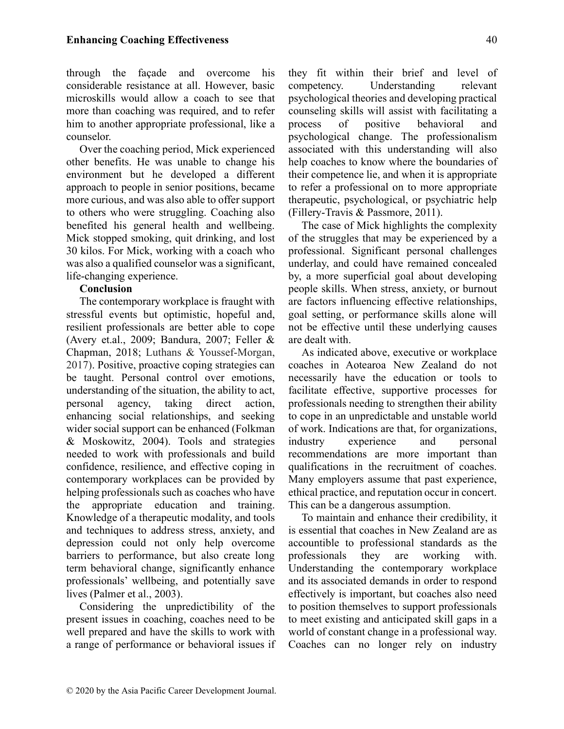through the façade and overcome his considerable resistance at all. However, basic microskills would allow a coach to see that more than coaching was required, and to refer him to another appropriate professional, like a counselor.

Over the coaching period, Mick experienced other benefits. He was unable to change his environment but he developed a different approach to people in senior positions, became more curious, and was also able to offer support to others who were struggling. Coaching also benefited his general health and wellbeing. Mick stopped smoking, quit drinking, and lost 30 kilos. For Mick, working with a coach who was also a qualified counselor was a significant, life-changing experience.

#### Conclusion

The contemporary workplace is fraught with stressful events but optimistic, hopeful and, resilient professionals are better able to cope (Avery et.al., 2009; Bandura, 2007; Feller & Chapman, 2018; Luthans & Youssef-Morgan, 2017). Positive, proactive coping strategies can be taught. Personal control over emotions, understanding of the situation, the ability to act, personal agency, taking direct action, enhancing social relationships, and seeking wider social support can be enhanced (Folkman & Moskowitz, 2004). Tools and strategies needed to work with professionals and build confidence, resilience, and effective coping in contemporary workplaces can be provided by helping professionals such as coaches who have the appropriate education and training. Knowledge of a therapeutic modality, and tools and techniques to address stress, anxiety, and depression could not only help overcome barriers to performance, but also create long term behavioral change, significantly enhance professionals' wellbeing, and potentially save lives (Palmer et al., 2003).

Considering the unpredictibility of the present issues in coaching, coaches need to be well prepared and have the skills to work with a range of performance or behavioral issues if they fit within their brief and level of competency. Understanding relevant psychological theories and developing practical counseling skills will assist with facilitating a process of positive behavioral and psychological change. The professionalism associated with this understanding will also help coaches to know where the boundaries of their competence lie, and when it is appropriate to refer a professional on to more appropriate therapeutic, psychological, or psychiatric help (Fillery-Travis & Passmore, 2011).

The case of Mick highlights the complexity of the struggles that may be experienced by a professional. Significant personal challenges underlay, and could have remained concealed by, a more superficial goal about developing people skills. When stress, anxiety, or burnout are factors influencing effective relationships, goal setting, or performance skills alone will not be effective until these underlying causes are dealt with.

As indicated above, executive or workplace coaches in Aotearoa New Zealand do not necessarily have the education or tools to facilitate effective, supportive processes for professionals needing to strengthen their ability to cope in an unpredictable and unstable world of work. Indications are that, for organizations, industry experience and personal recommendations are more important than qualifications in the recruitment of coaches. Many employers assume that past experience, ethical practice, and reputation occur in concert. This can be a dangerous assumption.

To maintain and enhance their credibility, it is essential that coaches in New Zealand are as accountible to professional standards as the professionals they are working with. Understanding the contemporary workplace and its associated demands in order to respond effectively is important, but coaches also need to position themselves to support professionals to meet existing and anticipated skill gaps in a world of constant change in a professional way. Coaches can no longer rely on industry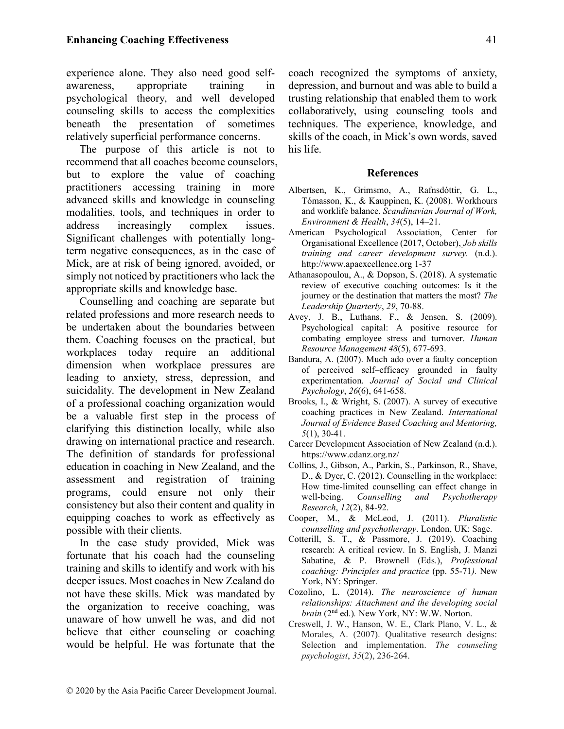experience alone. They also need good selfawareness, appropriate training in psychological theory, and well developed counseling skills to access the complexities beneath the presentation of sometimes relatively superficial performance concerns.

The purpose of this article is not to recommend that all coaches become counselors, but to explore the value of coaching practitioners accessing training in more advanced skills and knowledge in counseling modalities, tools, and techniques in order to address increasingly complex issues. Significant challenges with potentially longterm negative consequences, as in the case of Mick, are at risk of being ignored, avoided, or simply not noticed by practitioners who lack the appropriate skills and knowledge base.

Counselling and coaching are separate but related professions and more research needs to be undertaken about the boundaries between them. Coaching focuses on the practical, but workplaces today require an additional dimension when workplace pressures are leading to anxiety, stress, depression, and suicidality. The development in New Zealand of a professional coaching organization would be a valuable first step in the process of clarifying this distinction locally, while also drawing on international practice and research. The definition of standards for professional education in coaching in New Zealand, and the assessment and registration of training programs, could ensure not only their consistency but also their content and quality in equipping coaches to work as effectively as possible with their clients.

In the case study provided, Mick was fortunate that his coach had the counseling training and skills to identify and work with his deeper issues. Most coaches in New Zealand do not have these skills. Mick was mandated by the organization to receive coaching, was unaware of how unwell he was, and did not believe that either counseling or coaching would be helpful. He was fortunate that the coach recognized the symptoms of anxiety, depression, and burnout and was able to build a trusting relationship that enabled them to work collaboratively, using counseling tools and techniques. The experience, knowledge, and skills of the coach, in Mick's own words, saved his life.

#### References

- Albertsen, K., Grimsmo, A., Rafnsdóttir, G. L., Tómasson, K., & Kauppinen, K. (2008). Workhours and worklife balance. Scandinavian Journal of Work, Environment & Health, 34(5), 14–21.
- American Psychological Association, Center for Organisational Excellence (2017, October), Job skills training and career development survey. (n.d.). http://www.apaexcellence.org 1-37
- Athanasopoulou, A., & Dopson, S. (2018). A systematic review of executive coaching outcomes: Is it the journey or the destination that matters the most? The Leadership Quarterly, 29, 70-88.
- Avey, J. B., Luthans, F., & Jensen, S. (2009). Psychological capital: A positive resource for combating employee stress and turnover. Human Resource Management 48(5), 677-693.
- Bandura, A. (2007). Much ado over a faulty conception of perceived self–efficacy grounded in faulty experimentation. Journal of Social and Clinical Psychology, 26(6), 641-658.
- Brooks, I., & Wright, S. (2007). A survey of executive coaching practices in New Zealand. International Journal of Evidence Based Coaching and Mentoring, 5(1), 30-41.
- Career Development Association of New Zealand (n.d.). https://www.cdanz.org.nz/
- Collins, J., Gibson, A., Parkin, S., Parkinson, R., Shave, D., & Dyer, C. (2012). Counselling in the workplace: How time-limited counselling can effect change in well-being. Counselling and Psychotherapy Research, 12(2), 84-92.
- Cooper, M., & McLeod, J. (2011). Pluralistic counselling and psychotherapy. London, UK: Sage.
- Cotterill, S. T., & Passmore, J. (2019). Coaching research: A critical review. In S. English, J. Manzi Sabatine, & P. Brownell (Eds.), Professional coaching: Principles and practice (pp. 55-71). New York, NY: Springer.
- Cozolino, L. (2014). The neuroscience of human relationships: Attachment and the developing social brain (2<sup>nd</sup> ed.). New York, NY: W.W. Norton.
- Creswell, J. W., Hanson, W. E., Clark Plano, V. L., & Morales, A. (2007). Qualitative research designs: Selection and implementation. The counseling psychologist, 35(2), 236-264.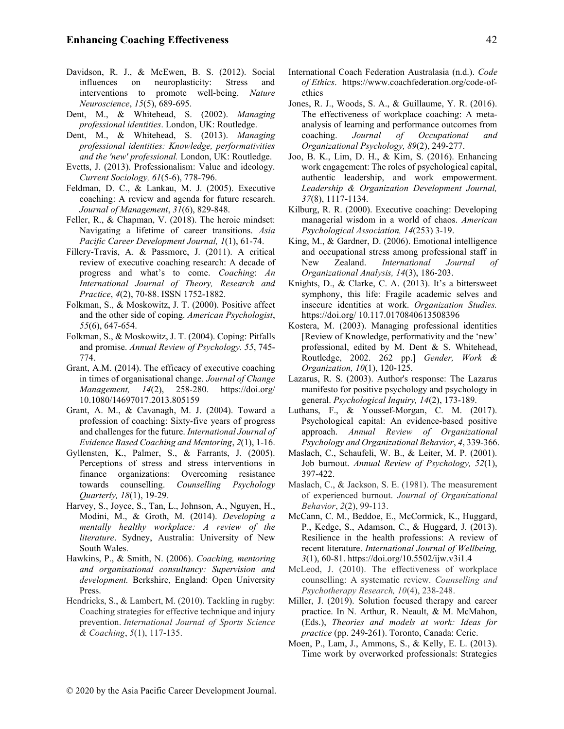- Davidson, R. J., & McEwen, B. S. (2012). Social influences on neuroplasticity: Stress and interventions to promote well-being. Nature Neuroscience, 15(5), 689-695.
- Dent, M., & Whitehead, S. (2002). Managing professional identities. London, UK: Routledge.
- Dent, M., & Whitehead, S. (2013). Managing professional identities: Knowledge, performativities and the 'new' professional. London, UK: Routledge.
- Evetts, J. (2013). Professionalism: Value and ideology. Current Sociology, 61(5-6), 778-796.
- Feldman, D. C., & Lankau, M. J. (2005). Executive coaching: A review and agenda for future research. Journal of Management, 31(6), 829-848.
- Feller, R., & Chapman, V. (2018). The heroic mindset: Navigating a lifetime of career transitions. Asia Pacific Career Development Journal, 1(1), 61-74.
- Fillery-Travis, A. & Passmore, J. (2011). A critical review of executive coaching research: A decade of progress and what's to come. Coaching: An International Journal of Theory, Research and Practice, 4(2), 70-88. ISSN 1752-1882.
- Folkman, S., & Moskowitz, J. T. (2000). Positive affect and the other side of coping. American Psychologist, 55(6), 647-654.
- Folkman, S., & Moskowitz, J. T. (2004). Coping: Pitfalls and promise. Annual Review of Psychology. 55, 745- 774.
- Grant, A.M. (2014). The efficacy of executive coaching in times of organisational change. Journal of Change Management, 14(2), 258-280. https://doi.org/ 10.1080/14697017.2013.805159
- Grant, A. M., & Cavanagh, M. J. (2004). Toward a profession of coaching: Sixty-five years of progress and challenges for the future. International Journal of Evidence Based Coaching and Mentoring, 2(1), 1-16.
- Gyllensten, K., Palmer, S., & Farrants, J. (2005). Perceptions of stress and stress interventions in finance organizations: Overcoming resistance towards counselling. Counselling Psychology Quarterly, 18(1), 19-29.
- Harvey, S., Joyce, S., Tan, L., Johnson, A., Nguyen, H., Modini, M., & Groth, M. (2014). Developing a mentally healthy workplace: A review of the literature. Sydney, Australia: University of New South Wales.
- Hawkins, P., & Smith, N. (2006). Coaching, mentoring and organisational consultancy: Supervision and development. Berkshire, England: Open University Press.
- Hendricks, S., & Lambert, M. (2010). Tackling in rugby: Coaching strategies for effective technique and injury prevention. International Journal of Sports Science & Coaching, 5(1), 117-135.
- International Coach Federation Australasia (n.d.). Code of Ethics. https://www.coachfederation.org/code-ofethics
- Jones, R. J., Woods, S. A., & Guillaume, Y. R. (2016). The effectiveness of workplace coaching: A metaanalysis of learning and performance outcomes from coaching. Journal of Occupational and Organizational Psychology, 89(2), 249-277.
- Joo, B. K., Lim, D. H., & Kim, S. (2016). Enhancing work engagement: The roles of psychological capital, authentic leadership, and work empowerment. Leadership & Organization Development Journal, 37(8), 1117-1134.
- Kilburg, R. R. (2000). Executive coaching: Developing managerial wisdom in a world of chaos. American Psychological Association, 14(253) 3-19.
- King, M., & Gardner, D. (2006). Emotional intelligence and occupational stress among professional staff in New Zealand. International Journal Organizational Analysis, 14(3), 186-203.
- Knights, D., & Clarke, C. A. (2013). It's a bittersweet symphony, this life: Fragile academic selves and insecure identities at work. Organization Studies. https://doi.org/ 10.117.0170840613508396
- Kostera, M. (2003). Managing professional identities [Review of Knowledge, performativity and the 'new' professional, edited by M. Dent & S. Whitehead, Routledge, 2002. 262 pp.] Gender, Work & Organization, 10(1), 120-125.
- Lazarus, R. S. (2003). Author's response: The Lazarus manifesto for positive psychology and psychology in general. Psychological Inquiry, 14(2), 173-189.
- Luthans, F., & Youssef-Morgan, C. M. (2017). Psychological capital: An evidence-based positive approach. Annual Review of Organizational Psychology and Organizational Behavior, 4, 339-366.
- Maslach, C., Schaufeli, W. B., & Leiter, M. P. (2001). Job burnout. Annual Review of Psychology, 52(1), 397-422.
- Maslach, C., & Jackson, S. E. (1981). The measurement of experienced burnout. Journal of Organizational Behavior, 2(2), 99-113.
- McCann, C. M., Beddoe, E., McCormick, K., Huggard, P., Kedge, S., Adamson, C., & Huggard, J. (2013). Resilience in the health professions: A review of recent literature. International Journal of Wellbeing, 3(1), 60-81. https://doi.org/10.5502/ijw.v3i1.4
- McLeod, J. (2010). The effectiveness of workplace counselling: A systematic review. Counselling and Psychotherapy Research, 10(4), 238-248.
- Miller, J. (2019). Solution focused therapy and career practice. In N. Arthur, R. Neault, & M. McMahon, (Eds.), Theories and models at work: Ideas for practice (pp. 249-261). Toronto, Canada: Ceric.
- Moen, P., Lam, J., Ammons, S., & Kelly, E. L. (2013). Time work by overworked professionals: Strategies